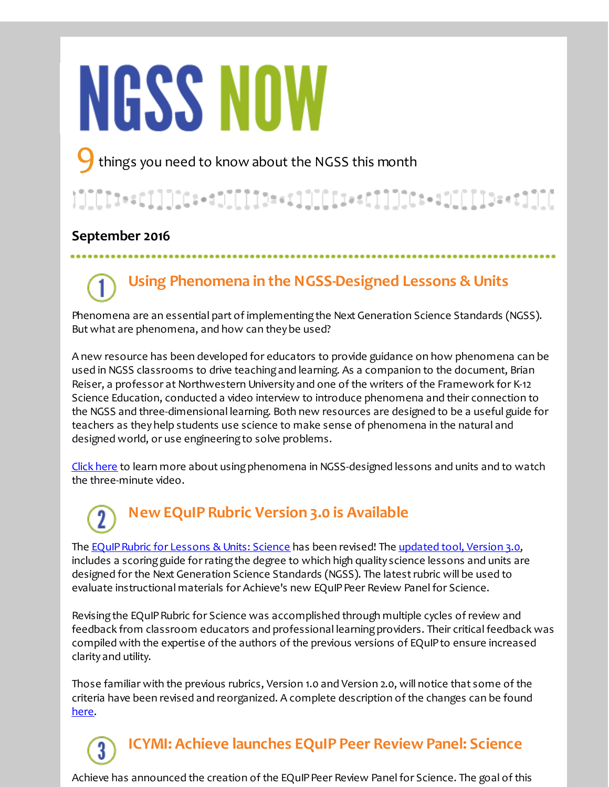# **NGSS NOW**

things you need to know about the NGSS this month

## }]][[[t+=c]]]][C:+dJ][[][b==t]]][[[i==c]]]][C:+dJ[[[[]b=+t]][[

#### **September 2016**

## **Using Phenomena in the NGSS-Designed Lessons & Units**

Phenomena are an essential part of implementing the Next Generation Science Standards (NGSS). But what are phenomena, and how can they be used?

A new resource has been developed for educators to provide guidance on how phenomena can be used in NGSS classrooms to drive teachingand learning. As a companion to the document, Brian Reiser, a professor at Northwestern University and one of the writers of the Framework for K-12 Science Education, conducted a video interview to introduce phenomena and their connection to the NGSS and three-dimensional learning. Both new resources are designed to be a useful guide for teachers as they help students use science to make sense of phenomena in the natural and designed world, or use engineering to solve problems.

Click [here](http://r20.rs6.net/tn.jsp?f=001f7jpKNuFNuB6bumJKGTWCBCCHaHXsYdd0oecD5SmQoEYBGn_RBoSKqJOcbcYKfeZ9j47IkLZCakK8Ff_Sebb0uAT-gxkFqa5CqPPlstLgDW3tBRiU7LyI7e7pE2j-TvttoSHA2d2rTnTPXnIR89ADW14wHygvYkpsTSbuSakmu9a3x6bmsUphkJGZ9VREkOUe3Mw_4F3VeroXjL-8Cih3A==&c=&ch=) to learn more about using phenomena in NGSS-designed lessons and units and to watch the three-minute video.

# **New EQuIP Rubric Version 3.0 is Available**

The EQuIP Rubric for Lessons & Units: Science has been revised! The [updated](http://r20.rs6.net/tn.jsp?f=001f7jpKNuFNuB6bumJKGTWCBCCHaHXsYdd0oecD5SmQoEYBGn_RBoSKqJOcbcYKfeZiL3wZqdgrN4S7kfu8jROk-fl4J9Ykygd05pSOALqECHOaddpgykgV6SQwCEcerDtqcCpXPgV0I6UOmaoG3-gZ1q6e52BuCFoenfHkR8XcF1nT-tSAyCqC3c0DzCecSxFkvIJFMH3V8Mp0aU3zE-s7CdDIqZ59TnbR97TYmwylwNeZ5vCuUPqPmimQ2K1Zh5a2hjYHfi3npYjFo_qfBO6uo17bfBMjH0v&c=&ch=) tool, Version 3.0, includes a scoring guide for rating the degree to which high quality science lessons and units are designed for the Next Generation Science Standards (NGSS). The latestrubric will be used to evaluate instructional materials for Achieve's new EQuIP Peer Review Panel for Science.

Revisingthe EQuIPRubric for Science was accomplished through multiple cycles of review and feedback from classroom educators and professional learningproviders. Their critical feedback was compiled with the expertise of the authors of the previous versions of EQuIPto ensure increased clarity and utility.

Those familiar with the previous rubrics, Version 1.0 and Version 2.0, will notice that some of the criteria have been revised and reorganized. A complete description of the changes can be found [here](http://r20.rs6.net/tn.jsp?f=001f7jpKNuFNuB6bumJKGTWCBCCHaHXsYdd0oecD5SmQoEYBGn_RBoSKqJOcbcYKfeZ_oyHKb-42UJaFS7NaD-vMqKXXN2MrzWky8QeuwUhGFWIwRdO22pIavDcNZhDit6sIcpf2-6B1_pvIUnPBC5TJgo1PM7LWyM2ZNVfWPDFauntJNKRSJmfM-O7UwWRAk3v5gM4FyyQKD3lTCQcsZaYufonqMvgKcO0nIZ5DViIAvCuftfpmmDY9uzW4l2zi3yuRblyoHyJwXA9GTMTmKu_iA==&c=&ch=).

**ICYMI: Achieve launches EQuIP Peer Review Panel: Science**

Achieve has announced the creation of the EQuIP Peer Review Panel for Science. The goal of this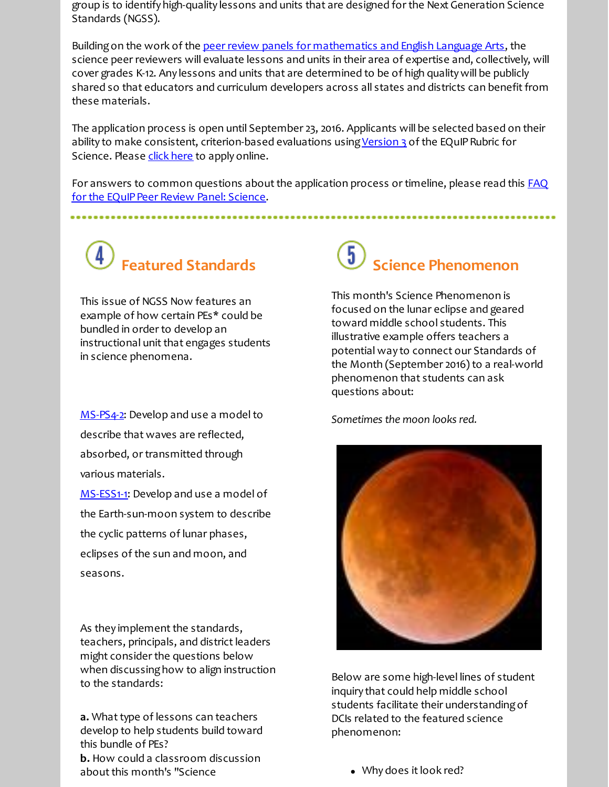group is to identify high-quality lessons and units that are designed for the Next Generation Science Standards (NGSS).

Building on the work of the [peer review panels for mathematics and English Language Arts](http://r20.rs6.net/tn.jsp?f=001f7jpKNuFNuB6bumJKGTWCBCCHaHXsYdd0oecD5SmQoEYBGn_RBoSKulp1eIqzvKpFBD4t6YLqZY7sZp2lIOFD-OFAzSz9PnwHCf-pGSB_mAredSQXC_dzyiV8Tu9JYh3tM_RBIrh1_WyG4DEJsiR9lOPwJbEFhkRoTr5lKV_G9C0sLL3XPSnAC2v7a9U3ZpGujbOg02LSpOlT3f1bYn7iy1sJBZuTnwY9HVeXmnstHs=&c=&ch=), the science peer reviewers will evaluate lessons and units in their area of expertise and, collectively, will cover grades K-12. Any lessons and units that are determined to be of high quality will be publicly shared so that educators and curriculum developers across all states and districts can benefit from these materials.

The application process is open until September 23, 2016. Applicants will be selected based on their ability to make consistent, criterion-based evaluations using [Version 3](http://r20.rs6.net/tn.jsp?f=001f7jpKNuFNuB6bumJKGTWCBCCHaHXsYdd0oecD5SmQoEYBGn_RBoSKqJOcbcYKfeZiL3wZqdgrN4S7kfu8jROk-fl4J9Ykygd05pSOALqECHOaddpgykgV6SQwCEcerDtqcCpXPgV0I6UOmaoG3-gZ1q6e52BuCFoenfHkR8XcF1nT-tSAyCqC3c0DzCecSxFkvIJFMH3V8Mp0aU3zE-s7CdDIqZ59TnbR97TYmwylwNeZ5vCuUPqPmimQ2K1Zh5a2hjYHfi3npYjFo_qfBO6uo17bfBMjH0v&c=&ch=) of the EQuIP Rubric for Science. Please [click here](http://r20.rs6.net/tn.jsp?f=001f7jpKNuFNuB6bumJKGTWCBCCHaHXsYdd0oecD5SmQoEYBGn_RBoSKtqS3V3K3TBLUmWfotUHb-5UmLKrIgSKp2ePi6YD79bKs4zrWk9u5Znx9wZAHot5L1dibL0m_nLzdl-ct_2V-J61JFyUvzs2pOuisEWBKSJZDM4FLnATvsxRGi7Jxm_RNgg_yUnLgEDz_ZImPZthNQ5ISKv2J9GrzQ==&c=&ch=) to apply online.

For answers to common questions about the application process or timeline, please read this **FAQ** for the EQuIP Peer Review Panel: Science.

# **Featured Standards**

This issue of NGSS Now features an example of how certain PEs\* could be bundled in order to develop an instructional unit that engages students in science phenomena.

[MS-PS4-2](http://r20.rs6.net/tn.jsp?f=001f7jpKNuFNuB6bumJKGTWCBCCHaHXsYdd0oecD5SmQoEYBGn_RBoSKgeKoZReLRCrsMIpie0xnoulRYCJ3WD-blw6tPxO9h-ZEjPrZKlDK-PI56xeZWW7OiKEwfkvv3zd7F9BSeqkTpCogK6Bm1YWK51P5p6vJzWF4n60U0kspsEoExh6_TaTgD7lxOOLQA27QDMr6rX95grv_aaqnYJDAaqmRHDtzjWhjgebUOuUEtCZGHXNV1D2nUqr3E8AHfy4ujVymeCzax4pT0_7diBoBA==&c=&ch=): Develop and use a model to describe that waves are reflected, absorbed, or transmitted through various materials.

[MS-ESS1-1](http://r20.rs6.net/tn.jsp?f=001f7jpKNuFNuB6bumJKGTWCBCCHaHXsYdd0oecD5SmQoEYBGn_RBoSKqJOcbcYKfeZC8x8-6Ck8x_0f__5ccD9LtjftMTsczXyi_TVZd-Yma_41yn1KeXhwijZW3uPeYE9YYW9MxZu1hTB_URfov3zWN7wZrb0PGYJb-VRTUvCQDg9TzosKcvF-JcXsyMN6nqF22KRuZVftWd4hspslhRhmM2CfDHCpEY5Hu-0UBxl4E8=&c=&ch=): Develop and use a model of the Earth-sun-moon system to describe the cyclic patterns of lunar phases, eclipses of the sun and moon, and seasons.

As they implement the standards, teachers, principals, and district leaders might consider the questions below when discussing how to align instruction to the standards:

**a.** What type of lessons can teachers develop to help students build toward this bundle of PEs? **b.** How could a classroom discussion about this month's "Science

## **Science Phenomenon**

This month's Science Phenomenon is focused on the lunar eclipse and geared toward middle school students. This illustrative example offers teachers a potential way to connect our Standards of the Month (September 2016) to a real-world phenomenon that students can ask questions about:

*Sometimes the moon looks red.*



Below are some high-level lines of student inquiry that could help middle school students facilitate their understanding of DCIs related to the featured science phenomenon:

Why does it look red?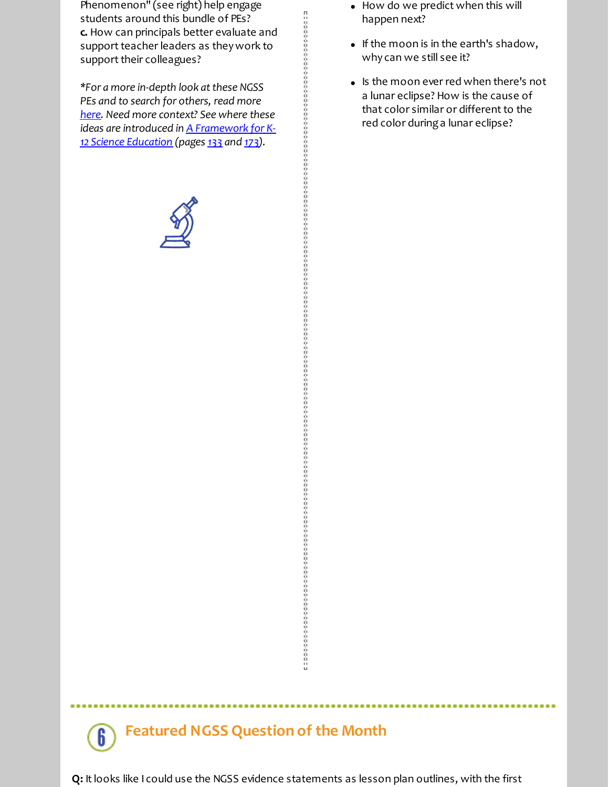Phenomenon" (see right) help engage students around this bundle of PEs? **c.** How can principals better evaluate and support teacher leaders as they work to support their colleagues?

*\*For a more in-depth look atthese NGSS PEs and to search for others, read more [here](http://r20.rs6.net/tn.jsp?f=001f7jpKNuFNuB6bumJKGTWCBCCHaHXsYdd0oecD5SmQoEYBGn_RBoSKh0lqdtThTxeDJS5dQQXwenMMGw1vzSz7aLLwu3DUjhyQntBxNzzeo1JVaVu9diV2Ga_gXSvEuPtDURsGdevim2qndBmIYKHf1ho8GWwk6D-SD1MR4ei1AGVwW1BGYUYObjG1RDzkL12TVN5rQMMXuI=&c=&ch=). Need more context? See where these ideas are introduced in A [Framework](http://r20.rs6.net/tn.jsp?f=001f7jpKNuFNuB6bumJKGTWCBCCHaHXsYdd0oecD5SmQoEYBGn_RBoSKgBMHGzDZz968iL5OH77kaA8bafag1fNHd54B55fv1O1bUjDt5YiEB3Doxa_3Xh8S5io8mi2f6ACcfljv09wTvnFP_u0QCIR7mRdesKqJp0ksKYTY_cGyeVA2gH-QvXE0H7CplPzrJKcNrcCkzzBLDvqyFOQqN5qcQ==&c=&ch=) for K-12 Science Education (pages [133](http://r20.rs6.net/tn.jsp?f=001f7jpKNuFNuB6bumJKGTWCBCCHaHXsYdd0oecD5SmQoEYBGn_RBoSKqJOcbcYKfeZMB0JM0znMwbCU_yQdY_3xe5BqfUHDtA4kL3QbE9J6aBjmu-c8nznN9FEywkXU0aDn81vaAGZyrXDCmpnURKJkcsmIRpyAJ84rIDjHca_AEUAIL_CvdYnxB6ExhCwxWXE0dZgG8khZEdEnD5iFX-GBQ==&c=&ch=) and [173](http://r20.rs6.net/tn.jsp?f=001f7jpKNuFNuB6bumJKGTWCBCCHaHXsYdd0oecD5SmQoEYBGn_RBoSKqJOcbcYKfeZJJZV7canj9GAsvcvmerlzW4D6Bt-ROC-dAOSRHK5WwtR65JYu5RliHboC-G-WHFgZENw7mwHn4-3CMaWFeTdWCv8QJb2tyhR4ObCq1TlXEGNOR8rQj-AupNtP_-o4piolA7e0VuDmu62aVpZQAnOqg==&c=&ch=)).*



- How do we predict when this will happen next?
- If the moon is in the earth's shadow, why can we still see it?
- Is the moon ever red when there's not a lunar eclipse? How is the cause of that color similar or different to the red color duringa lunar eclipse?

#### **Featured NGSS Question of the Month**  $\bf{6}$

**Q:** Itlooks like I could use the NGSS evidence statements as lesson plan outlines, with the first

ra a componente de componente de a componente de componente de componente de componente de componente de compo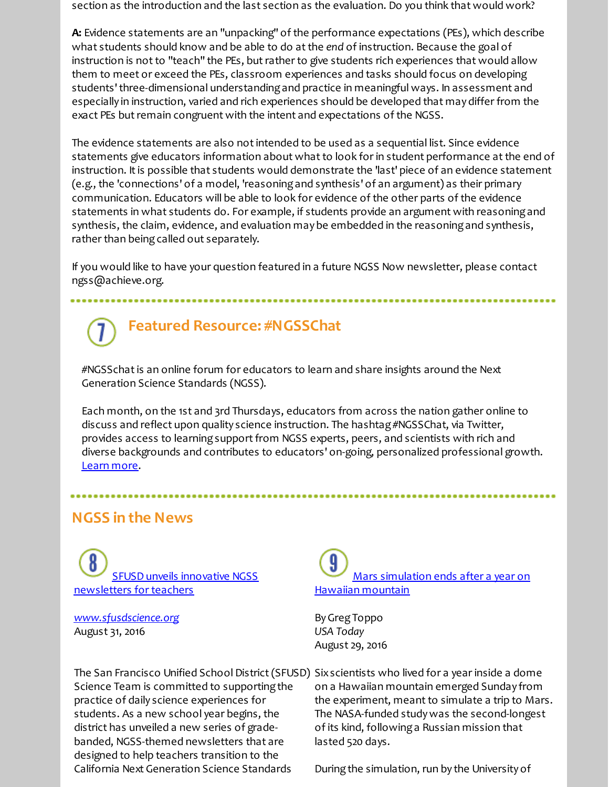section as the introduction and the last section as the evaluation. Do you think that would work?

**A:** Evidence statements are an "unpacking" of the performance expectations (PEs), which describe what students should know and be able to do atthe *end* of instruction. Because the goal of instruction is not to "teach" the PEs, but rather to give students rich experiences that would allow them to meet or exceed the PEs, classroom experiences and tasks should focus on developing students'three-dimensional understandingand practice in meaningful ways. In assessment and especially in instruction, varied and rich experiences should be developed that may differ from the exact PEs but remain congruent with the intent and expectations of the NGSS.

The evidence statements are also notintended to be used as a sequential list. Since evidence statements give educators information about what to look for in student performance at the end of instruction. It is possible that students would demonstrate the 'last' piece of an evidence statement (e.g., the 'connections' of a model, 'reasoningand synthesis' of an argument) as their primary communication. Educators will be able to look for evidence of the other parts of the evidence statements in what students do. For example, if students provide an argument with reasoningand synthesis, the claim, evidence, and evaluation may be embedded in the reasoning and synthesis, rather than being called out separately.

If you would like to have your question featured in a future NGSS Now newsletter, please contact ngss@achieve.org.

## **Featured Resource: #NGSSChat**

#NGSSchatis an online forum for educators to learn and share insights around the Next Generation Science Standards (NGSS).

Each month, on the 1st and 3rd Thursdays, educators from across the nation gather online to discuss and reflect upon quality science instruction. The hashtag #NGSSChat, via Twitter, provides access to learning support from NGSS experts, peers, and scientists with rich and diverse backgrounds and contributes to educators' on-going, personalized professional growth. [Learn](http://r20.rs6.net/tn.jsp?f=001f7jpKNuFNuB6bumJKGTWCBCCHaHXsYdd0oecD5SmQoEYBGn_RBoSKqJOcbcYKfeZQ_A0_6E8JNtxxcsDBRkVMSveeRNQiaqwX9aLXZ2MS2OF83qJFw_GQsI9n3Eh6nGwh2q9UOw5n9OeC1kz12CCLmTJ2SwGwbbYvztuF9vQHELVctNEbFQ-Z4vHo6NBCLMw&c=&ch=) more.

### **NGSS in the News**

SFUSD unveils innovative NGSS [newsletters](http://r20.rs6.net/tn.jsp?f=001f7jpKNuFNuB6bumJKGTWCBCCHaHXsYdd0oecD5SmQoEYBGn_RBoSKqJOcbcYKfeZmFHeGscFoSWHw6uB3Qi82pikbsGIVvgzhEwabUW7qe4mpOsLCDz4bplZ6tbSALKe76ElLytoXZYsiJajTPbovqrWhzXv44O0f6EU6Pg7tVw5tEBuYM0R18eWpYGBjXpc7rBKMf98d2R8yeqp1pb7oN0cIvC-8qEA2Pe48jPX-2_4eJE6pztN6Mqs9P3fnVcZ&c=&ch=) for teachers

*[www.sfusdscience.org](http://r20.rs6.net/tn.jsp?f=001f7jpKNuFNuB6bumJKGTWCBCCHaHXsYdd0oecD5SmQoEYBGn_RBoSKqJOcbcYKfeZ1eQiHXt_5V8YU2ikXdggoXksm45dyAANjSoSOBufE9YgX9XmGkS_LTmmRqoYADeReyXzvLdJYzMqqny4Rt9c69s12dq_5GWOwJda7sjbbFU=&c=&ch=)* August 31, 2016

Science Team is committed to supporting the practice of daily science experiences for students. As a new school year begins, the district has unveiled a new series of gradebanded, NGSS-themed newsletters that are designed to help teachers transition to the California Next Generation Science Standards

Mars [simulation](http://r20.rs6.net/tn.jsp?f=001f7jpKNuFNuB6bumJKGTWCBCCHaHXsYdd0oecD5SmQoEYBGn_RBoSKqJOcbcYKfeZLzlXokPzN_qe65krzfC6y3fDRbJ5u84FrK-bOOWHfcGu2f32pnBx0lGtCPqAV1cJzGcpMwZ1JRYaBD-uEGzp7B-5B7ezsZDvf7VDNl9SEkG_EjA_jVyqoxFzL31oWG5D3oYRFGC4GVLxfq6208nY4eO5_E6ySYY5lc___v9qxovkQUeeOfvfSwn_Fmd77iwMNuSvHDof9ZwYB47PwXCdEk9-vQsjfDgxJcXsyZHBDb8=&c=&ch=) ends after a year on Hawaiian mountain

ByGregToppo *USA Today* August 29, 2016

The San Francisco Unified School District(SFUSD) Sixscientists who lived for a year inside a dome on a Hawaiian mountain emerged Sunday from the experiment, meant to simulate a trip to Mars. The NASA-funded studywas the second-longest of its kind, followinga Russian mission that lasted 520 days.

During the simulation, run by the University of